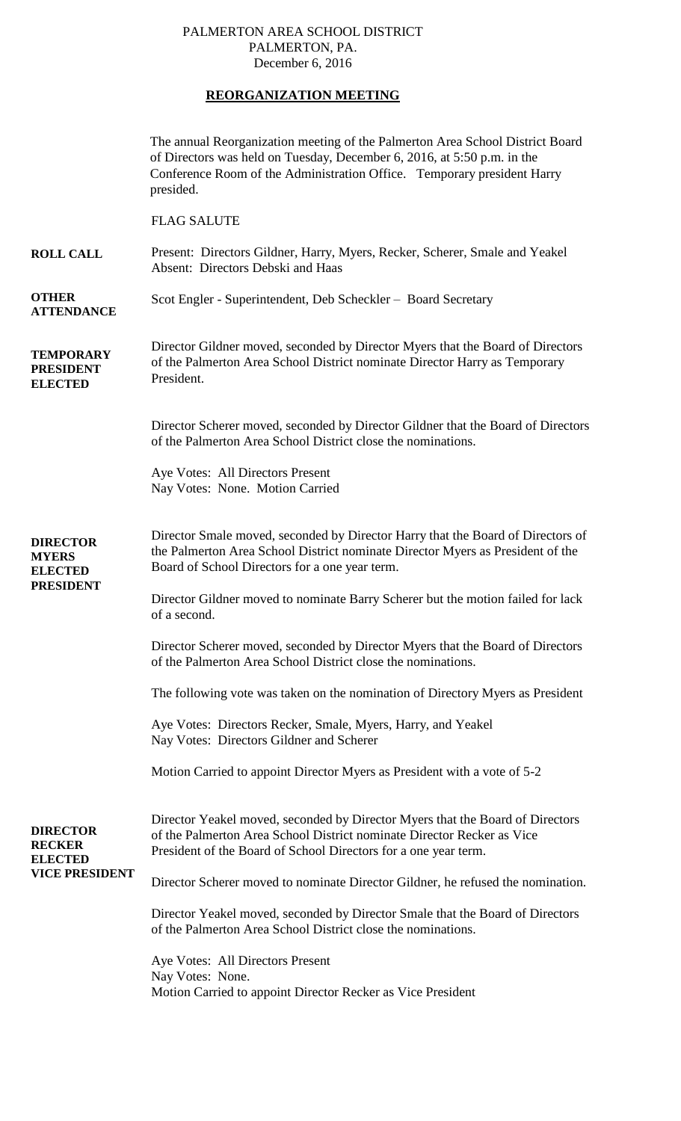## PALMERTON AREA SCHOOL DISTRICT PALMERTON, PA. December 6, 2016

## **REORGANIZATION MEETING**

|                                                                             | The annual Reorganization meeting of the Palmerton Area School District Board<br>of Directors was held on Tuesday, December 6, 2016, at 5:50 p.m. in the<br>Conference Room of the Administration Office. Temporary president Harry<br>presided. |
|-----------------------------------------------------------------------------|--------------------------------------------------------------------------------------------------------------------------------------------------------------------------------------------------------------------------------------------------|
|                                                                             | <b>FLAG SALUTE</b>                                                                                                                                                                                                                               |
| <b>ROLL CALL</b>                                                            | Present: Directors Gildner, Harry, Myers, Recker, Scherer, Smale and Yeakel<br>Absent: Directors Debski and Haas                                                                                                                                 |
| <b>OTHER</b><br><b>ATTENDANCE</b>                                           | Scot Engler - Superintendent, Deb Scheckler – Board Secretary                                                                                                                                                                                    |
| <b>TEMPORARY</b><br><b>PRESIDENT</b><br><b>ELECTED</b>                      | Director Gildner moved, seconded by Director Myers that the Board of Directors<br>of the Palmerton Area School District nominate Director Harry as Temporary<br>President.                                                                       |
|                                                                             | Director Scherer moved, seconded by Director Gildner that the Board of Directors<br>of the Palmerton Area School District close the nominations.                                                                                                 |
| <b>DIRECTOR</b><br><b>MYERS</b><br><b>ELECTED</b><br><b>PRESIDENT</b>       | Aye Votes: All Directors Present<br>Nay Votes: None. Motion Carried                                                                                                                                                                              |
|                                                                             | Director Smale moved, seconded by Director Harry that the Board of Directors of<br>the Palmerton Area School District nominate Director Myers as President of the<br>Board of School Directors for a one year term.                              |
|                                                                             | Director Gildner moved to nominate Barry Scherer but the motion failed for lack<br>of a second.                                                                                                                                                  |
|                                                                             | Director Scherer moved, seconded by Director Myers that the Board of Directors<br>of the Palmerton Area School District close the nominations.                                                                                                   |
|                                                                             | The following vote was taken on the nomination of Directory Myers as President                                                                                                                                                                   |
|                                                                             | Aye Votes: Directors Recker, Smale, Myers, Harry, and Yeakel<br>Nay Votes: Directors Gildner and Scherer                                                                                                                                         |
|                                                                             | Motion Carried to appoint Director Myers as President with a vote of 5-2                                                                                                                                                                         |
| <b>DIRECTOR</b><br><b>RECKER</b><br><b>ELECTED</b><br><b>VICE PRESIDENT</b> | Director Yeakel moved, seconded by Director Myers that the Board of Directors<br>of the Palmerton Area School District nominate Director Recker as Vice<br>President of the Board of School Directors for a one year term.                       |
|                                                                             | Director Scherer moved to nominate Director Gildner, he refused the nomination.                                                                                                                                                                  |
|                                                                             | Director Yeakel moved, seconded by Director Smale that the Board of Directors<br>of the Palmerton Area School District close the nominations.                                                                                                    |
|                                                                             | Aye Votes: All Directors Present                                                                                                                                                                                                                 |
|                                                                             | Nay Votes: None.<br>Motion Carried to appoint Director Recker as Vice President                                                                                                                                                                  |